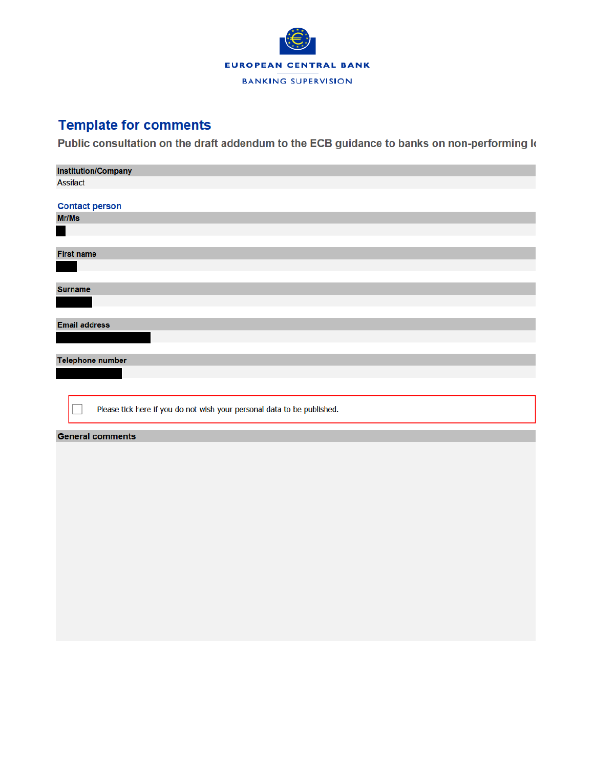

## **Template for comments**

Public consultation on the draft addendum to the ECB guidance to banks on non-performing k

| <b>Institution/Company</b>                                              |
|-------------------------------------------------------------------------|
| <b>Assifact</b>                                                         |
|                                                                         |
| <b>Contact person</b>                                                   |
| Mr/Ms                                                                   |
| н                                                                       |
|                                                                         |
| <b>First name</b>                                                       |
|                                                                         |
|                                                                         |
| <b>Surname</b>                                                          |
|                                                                         |
|                                                                         |
| <b>Email address</b>                                                    |
|                                                                         |
|                                                                         |
| Telephone number                                                        |
|                                                                         |
|                                                                         |
|                                                                         |
| Please tick here if you do not wish your personal data to be published. |
|                                                                         |
| <b>General comments</b>                                                 |
|                                                                         |
|                                                                         |
|                                                                         |
|                                                                         |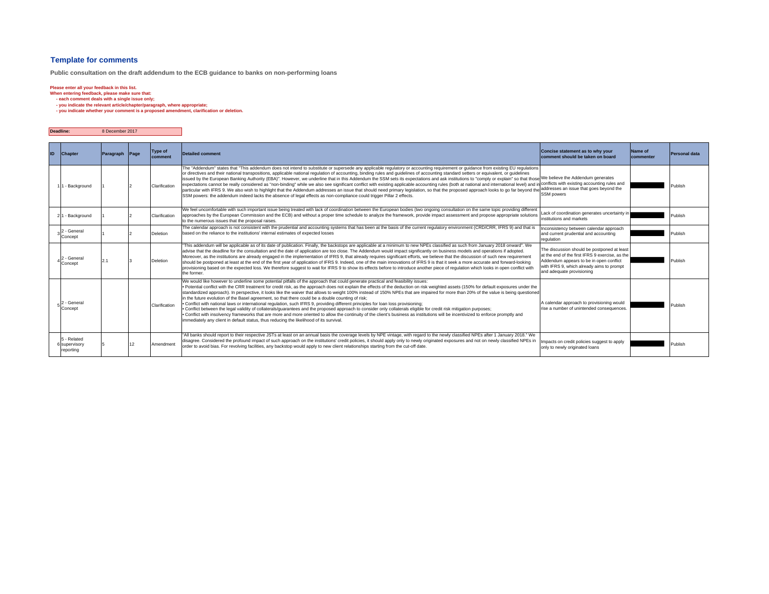#### **Template for comments**

**Public consultation on the draft addendum to the ECB guidance to banks on non-performing loans**

Please enter all your feedback in this list.<br>When entering feedback, please make sure that:<br>• each comment deals with a single issue only;<br>• you indicate the relevant article/chapter/paragraph, where appropriate;<br>• you ind

| <b>Deadline:</b> | 8 December 2017 |
|------------------|-----------------|
|                  |                 |

| ID | <b>Chapter</b>                            | Paragraph Page | Type of<br>comment | <b>Detailed comment</b>                                                                                                                                                                                                                                                                                                                                                                                                                                                                                                                                                                                                                                                                                                                                                                                                                                                                                                                                                                                                                                                                                                                                                                                                    | Concise statement as to why your<br>comment should be taken on board                                                                                                                                                | Name of<br>commenter | Personal data |
|----|-------------------------------------------|----------------|--------------------|----------------------------------------------------------------------------------------------------------------------------------------------------------------------------------------------------------------------------------------------------------------------------------------------------------------------------------------------------------------------------------------------------------------------------------------------------------------------------------------------------------------------------------------------------------------------------------------------------------------------------------------------------------------------------------------------------------------------------------------------------------------------------------------------------------------------------------------------------------------------------------------------------------------------------------------------------------------------------------------------------------------------------------------------------------------------------------------------------------------------------------------------------------------------------------------------------------------------------|---------------------------------------------------------------------------------------------------------------------------------------------------------------------------------------------------------------------|----------------------|---------------|
|    | 1 - Background                            |                | Clarification      | The "Addendum" states that "This addendum does not intend to substitute or supersede any applicable regulatory or accounting requirement or guidance from existing EU regulations<br>or directives and their national transpositions, applicable national requlation of accounting, binding rules and quidelines of accounting standard setters or equivalent, or quidelines<br>issued by the European Banking Authority (EBA)". However, we underline that in this Addendum the SSM sets its expectations and ask institutions to "comply or explain" so that thosel <sup>We believe</sup> the Addendum generates<br>expectations cannot be really considered as "non-binding" while we also see significant conflict with existing applicable accounting rules (both at national and international level) and<br>particular with IFRS 9. We also wish to highlight that the Addendum addresses an issue that should need primary legislation, so that the proposed approach looks to go far beyond the addresses an issue that goes beyond the<br>SSM powers: the addendum indeed lacks the absence of legal effects as non-compliance could trigger Pillar 2 effects.                                                   | conflicts with existing accounting rules and<br>SSM powers                                                                                                                                                          |                      | Publish       |
|    | 21 - Background                           |                | Clarification      | We feel uncomfortable with such important issue being treated with lack of coordination between the European bodies (two ongoing consultation on the same topic providing different<br>approaches by the European Commission and the ECB) and without a proper time schedule to analyze the framework, provide impact assessment and propose appropriate solutions<br>to the numerous issues that the proposal raises.                                                                                                                                                                                                                                                                                                                                                                                                                                                                                                                                                                                                                                                                                                                                                                                                     | Lack of coordination generates uncertainty in<br>institutions and markets                                                                                                                                           |                      | Publish       |
|    | 2 - Genera<br>Concept                     |                | <b>Deletion</b>    | The calendar approach is not consistent with the prudential and accounting systems that has been at the basis of the current requlatory environment (CRD/CRR, IFRS 9) and that is<br>based on the reliance to the institutions' internal estimates of expected losses                                                                                                                                                                                                                                                                                                                                                                                                                                                                                                                                                                                                                                                                                                                                                                                                                                                                                                                                                      | Inconsistency between calendar approach<br>and current prudential and accounting<br>regulation                                                                                                                      |                      | Publish       |
|    | <sup>2</sup> - Genera<br>Concept          | 2.1            | <b>Deletion</b>    | "This addendum will be applicable as of its date of publication. Finally, the backstops are applicable at a minimum to new NPEs classified as such from January 2018 onward". We<br>advise that the deadline for the consultation and the date of application are too close. The Addendum would impact significantly on business models and operations if adopted.<br>Moreover, as the institutions are already engaged in the implementation of IFRS 9, that already requires significant efforts, we believe that the discussion of such new requirement<br>should be postponed at least at the end of the first year of application of IFRS 9. Indeed, one of the main innovations of IFRS 9 is that it seek a more accurate and forward-looking<br>provisioning based on the expected loss. We therefore suggest to wait for IFRS 9 to show its effects before to introduce another piece of regulation which looks in open conflict with<br>the former.                                                                                                                                                                                                                                                               | The discussion should be postponed at least<br>at the end of the first IFRS 9 exercise, as the<br>Addendum appears to be in open conflict<br>with IFRS 9, which already aims to prompt<br>and adequate provisioning |                      | Publish       |
|    | 2 - General<br>Concept                    |                | Clarification      | We would like however to underline some potential pitfalls of the approach that could generate practical and feasibility issues:<br>. Potential conflict with the CRR treatment for credit risk, as the approach does not explain the effects of the deduction on risk weighted assets (150% for default exposures under the<br>standardized approach). In perspective, it looks like the waiver that allows to weight 100% instead of 150% NPEs that are impaired for more than 20% of the value is being questioned<br>in the future evolution of the Basel agreement, so that there could be a double counting of risk;<br>. Conflict with national laws or international regulation, such IFRS 9, providing different principles for loan loss provisioning;<br>. Conflict between the legal validity of collaterals/quarantees and the proposed approach to consider only collaterals eligible for credit risk mitigation purposes;<br>. Conflict with insolvency frameworks that are more and more oriented to allow the continuity of the client's business as institutions will be incentivized to enforce promptly and<br>immediately any client in default status, thus reducing the likelihood of its survival. | A calendar approach to provisioning would<br>rise a number of unintended consequences.                                                                                                                              |                      | Publish       |
|    | 5 - Related<br>6 supervisory<br>reporting |                | Amendment          | "All banks should report to their respective JSTs at least on an annual basis the coverage levels by NPE vintage, with regard to the newly classified NPEs after 1 January 2018." We<br>disagree. Considered the profound impact of such approach on the institutions' credit policies, it should apply only to newly originated exposures and not on newly classified NPEs in<br>order to avoid bias. For revolving facilities, any backstop would apply to new client relationships starting from the cut-off date.                                                                                                                                                                                                                                                                                                                                                                                                                                                                                                                                                                                                                                                                                                      | Impacts on credit policies suggest to apply<br>only to newly originated loans                                                                                                                                       |                      | Publish       |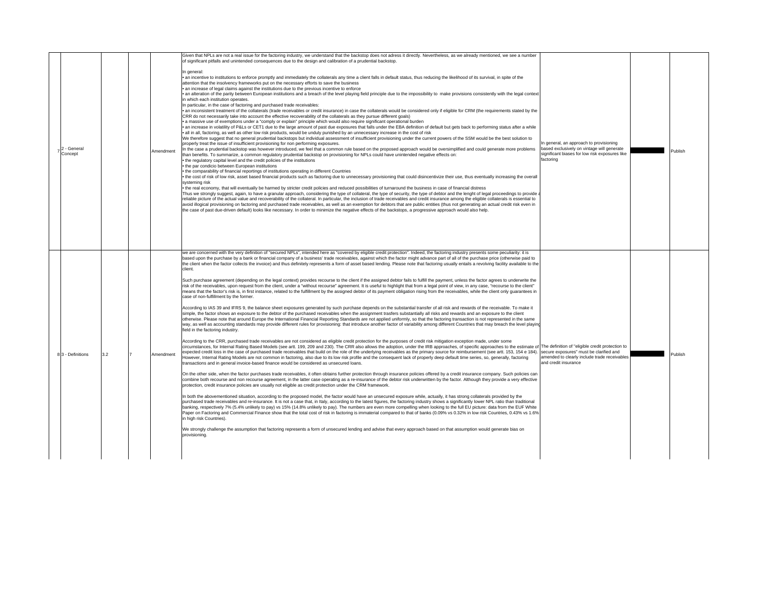| 2 - General<br>Concept |     | Amendment | Given that NPLs are not a real issue for the factoring industry, we understand that the backstop does not adress it directly. Nevertheless, as we already mentioned, we see a number<br>of significant pitfalls and unintended consequences due to the design and calibration of a prudential backstop.<br>In general<br>• an incentive to institutions to enforce promptly and immediately the collaterals any time a client falls in default status, thus reducing the likelihood of its survival, in spite of the<br>attention that the insolvency frameworks put on the necessary efforts to save the business<br>• an increase of legal claims against the institutions due to the previous incentive to enforce<br>. an alteration of the parity between European institutions and a breach of the level playing field principle due to the impossibility to make provisions consistently with the legal context<br>in which each institution operates.<br>In particular, in the case of factoring and purchased trade receivables:<br>an inconsistent treatment of the collaterals (trade receivables or credit insurance) in case the collaterals would be considered only if eligible for CRM (the requirements stated by the<br>CRR do not necessarily take into account the effective recoverability of the collaterals as they pursue different goals)<br>· a massive use of exemptions under a "comply or explain" principle which would also require significant operational burden<br>an increase in volatility of P&Ls or CET1 due to the large amount of past due exposures that falls under the EBA definition of default but gets back to performing status after a while<br>all in all, factoring, as well as other low risk products, would be unduly punished by an unnecessary increase in the cost of risk<br>We therefore suggest that no general prudential backstops but individual assessment of insufficient provisioning under the current powers of the SSM would be the best solution to<br>properly treat the issue of insufficient provisioning for non performing exposures.<br>n the case a prudential backstop was however introduced, we feel that a common rule based on the proposed approach would be oversimplified and could generate more problems<br>than benefits. To summarize, a common regulatory prudential backstop on provisioning for NPLs could have unintended negative effects on:<br>the regulatory capital level and the credit policies of the institutions<br>the par condicio between European institutions<br>the comparability of financial reportings of institutions operating in different Countries<br>• the cost of risk of low risk, asset based financial products such as factoring due to unnecessary provisioning that could disincentivize their use, thus eventually increasing the overall<br>systeming risk<br>the real economy, that will eventually be harmed by stricter credit policies and reduced possibilities of turnaround the business in case of financial distress                                                                                                                                                                       | In general, an approach to provisioning<br>based exclusively on vintage will generate<br>significant biases for low risk exposures like<br>factoring | <b>Publish</b> |
|------------------------|-----|-----------|-----------------------------------------------------------------------------------------------------------------------------------------------------------------------------------------------------------------------------------------------------------------------------------------------------------------------------------------------------------------------------------------------------------------------------------------------------------------------------------------------------------------------------------------------------------------------------------------------------------------------------------------------------------------------------------------------------------------------------------------------------------------------------------------------------------------------------------------------------------------------------------------------------------------------------------------------------------------------------------------------------------------------------------------------------------------------------------------------------------------------------------------------------------------------------------------------------------------------------------------------------------------------------------------------------------------------------------------------------------------------------------------------------------------------------------------------------------------------------------------------------------------------------------------------------------------------------------------------------------------------------------------------------------------------------------------------------------------------------------------------------------------------------------------------------------------------------------------------------------------------------------------------------------------------------------------------------------------------------------------------------------------------------------------------------------------------------------------------------------------------------------------------------------------------------------------------------------------------------------------------------------------------------------------------------------------------------------------------------------------------------------------------------------------------------------------------------------------------------------------------------------------------------------------------------------------------------------------------------------------------------------------------------------------------------------------------------------------------------------------------------------------------------------------------------------------------------------------------------------------------------------------------------------------------------------------------------------------------------------------------------------------------------------------------------------------------------------------------------------------------------------------------------------------------------------------------------------------------------------|------------------------------------------------------------------------------------------------------------------------------------------------------|----------------|
|                        |     |           | Thus we strongly suggest, again, to have a granular approach, considering the type of collateral, the type of security, the type of debtor and the lenght of legal proceedings to provide<br>reliable picture of the actual value and recoverability of the collateral. In particular, the inclusion of trade receivables and credit insurance among the eligible collaterals is essential to<br>avoid illogical provisioning on factoring and purchased trade receivables, as well as an exemption for debtors that are public entities (thus not generating an actual credit risk even in<br>the case of past due-driven default) looks like necessary. In order to minimize the negative effects of the backstops, a progressive approach would also help.<br>we are concerned with the very definition of "secured NPLs", intended here as "covered by eligible credit protection". Indeed, the factoring industry presents some peculiarity: it is<br>based upon the purchase by a bank or financial company of a business' trade receivables, against which the factor might advance part of all of the purchase price (otherwise paid to<br>the client when the factor collects the invoice) and thus definitely represents a form of asset based lending. Please note that factoring usually entails a revolving facility available to the<br>client.<br>Such purchase agreement (depending on the legal context) provides recourse to the client if the assigned debtor fails to fulfill the payment, unless the factor agrees to underwrite the<br>risk of the receivables, upon request from the client, under a "without recourse" agreement. It is useful to highlight that from a legal point of view, in any case, "recourse to the client"<br>means that the factor's risk is, in first instance, related to the fulfillment by the assigned debtor of its payment obligation rising from the receivables, while the client only quarantees in<br>case of non-fulfillment by the former.                                                                                                                                                                                                                                                                                                                                                                                                                                                                                                                                                                                                                                                                                                                                                                                                                                                                                                                                                                                                                                                                                                                                                                                                                          |                                                                                                                                                      |                |
| 8 3 - Definitions      | 3.2 | Amendment | According to IAS 39 and IFRS 9, the balance sheet exposures generated by such purchase depends on the substantial transfer of all risk and rewards of the receivable. To make it<br>simple, the factor shows an exposure to the debtor of the purchased receivables when the assignment trasfers substantially all risks and rewards and an exposure to the client<br>otherwise. Please note that around Europe the International Financial Reporting Standards are not applied uniformly, so that the factoring transaction is not represented in the same<br>way, as well as accounting standards may provide different rules for provisioning: that introduce another factor of variability among different Countries that may breach the level playing<br>field in the factoring industry.<br>According to the CRR, purchased trade receivables are not considered as eligible credit protection for the purposes of credit risk mitigation exception made, under some<br>circumstances, for Internal Rating Based Models (see artt. 199, 209 and 230). The CRR also allows the adoption, under the IRB approaches, of specific approaches to the estimate of The definition of "eligible credit protect<br>expected credit loss in the case of purchased trade receivables that build on the role of the underlying receivables as the primary source for reimbursement (see artt. 153, 154 e 184). Secure exposures" must be clarified a<br>However, Internal Rating Models are not common in factoring, also due to its low risk profile and the consequent lack of properly deep default time series, so, generally, factoring<br>transactions and in general invoice-based finance would be considered as unsecured loans.<br>On the other side, when the factor purchases trade receivables, it often obtains further protection through insurance policies offered by a credit insurance company. Such policies can<br>combine both recourse and non recourse agreement, in the latter case operating as a re-insurance of the debtor risk underwritten by the factor. Although they provide a very effective<br>protection, credit insurance policies are usually not eligible as credit protection under the CRM framework.<br>In both the abovementioned situation, according to the proposed model, the factor would have an unsecured exposure while, actually, it has strong collaterals provided by the<br>purchased trade receivables and re-insurance. It is not a case that, in Italy, according to the latest figures, the factoring industry shows a significantly lower NPL ratio than traditional<br>banking, respectively 7% (5.4% unlikely to pay) vs 15% (14.8% unlikely to pay). The numbers are even more compelling when looking to the full EU picture: data from the EUF White<br>Paper on Factoring and Commercial Finance show that the total cost of risk in factoring is immaterial compared to that of banks (0.09% vs 0.32% in low risk Countries, 0.43% vs 1.6%<br>in high risk Countries).<br>We strongly challenge the assumption that factoring represents a form of unsecured lending and advise that every approach based on that assumption would generate bias on<br>provisioning. | amended to clearly include trade receivables<br>and credit insurance                                                                                 | Publish        |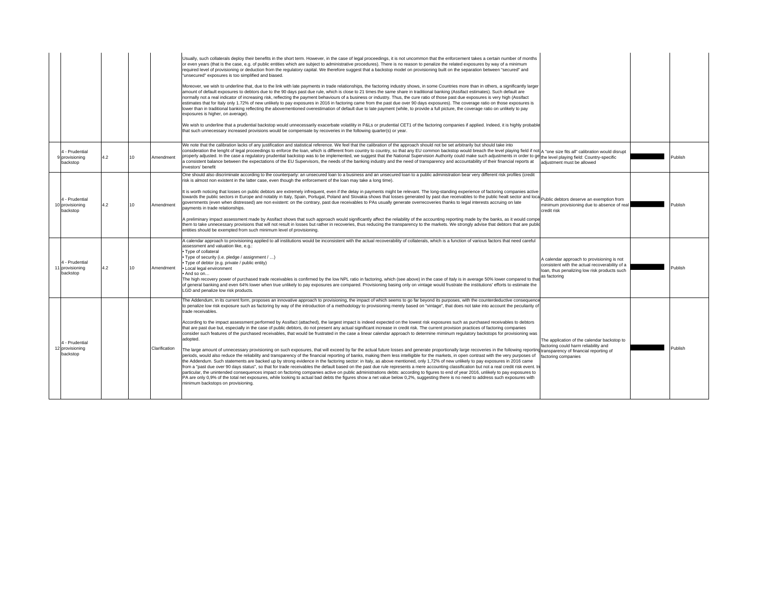|                                               |     |                 |               | Usually, such collaterals deploy their benefits in the short term. However, in the case of legal proceedings, it is not uncommon that the enforcement takes a certain number of months<br>or even years (that is the case, e.g. of public entities which are subject to administrative procedures). There is no reason to penalize the related exposures by way of a minimum<br>required level of provisioning or deduction from the regulatory capital. We therefore suggest that a backstop model on provisioning built on the separation between "secured" and<br>"unsecured" exposures is too simplified and biased.<br>Moreover, we wish to underline that, due to the link with late payments in trade relationships, the factoring industry shows, in some Countries more than in others, a significantly larger<br>amount of default exposures to debtors due to the 90 days past due rule, which is close to 21 times the same share in traditional banking (Assifact estimates). Such default are<br>normally not a real indicator of increasing risk, reflecting the payment behaviours of a business or industry. Thus, the cure ratio of those past due exposures is very high (Assifact<br>estimates that for Italy only 1.72% of new unlikely to pay exposures in 2016 in factoring came from the past due over 90 days exposures). The coverage ratio on those exposures is<br>lower than in traditional banking reflecting the abovementioned overestimation of default due to late payment (while, to provide a full picture, the coverage ratio on unlikely to pay<br>exposures is higher, on average).<br>We wish to underline that a prudential backstop would unnecessarily exacerbate volatility in P&Ls or prudential CET1 of the factoring companies if applied. Indeed, it is highly probable<br>that such unnecessary increased provisions would be compensate by recoveries in the following quarter(s) or year.                                                                                                                                                                                                                                          |                                                                                                                                                              |         |
|-----------------------------------------------|-----|-----------------|---------------|---------------------------------------------------------------------------------------------------------------------------------------------------------------------------------------------------------------------------------------------------------------------------------------------------------------------------------------------------------------------------------------------------------------------------------------------------------------------------------------------------------------------------------------------------------------------------------------------------------------------------------------------------------------------------------------------------------------------------------------------------------------------------------------------------------------------------------------------------------------------------------------------------------------------------------------------------------------------------------------------------------------------------------------------------------------------------------------------------------------------------------------------------------------------------------------------------------------------------------------------------------------------------------------------------------------------------------------------------------------------------------------------------------------------------------------------------------------------------------------------------------------------------------------------------------------------------------------------------------------------------------------------------------------------------------------------------------------------------------------------------------------------------------------------------------------------------------------------------------------------------------------------------------------------------------------------------------------------------------------------------------------------------------------------------------------------------------------------------------------------------------------------------------------------------------------|--------------------------------------------------------------------------------------------------------------------------------------------------------------|---------|
| 4 - Prudential<br>9 provisioning<br>backstop  | 4.2 | 10              | Amendment     | We note that the calibration lacks of any justification and statistical reference. We feel that the calibration of the approach should not be set arbitrarily but should take into<br>consideration the lenght of legal proceedings to enforce the loan, which is different from country to country, so that any EU common backstop would breach the level playing field if not a rone size fits all" calibration wo<br>properly adjusted. In the case a regulatory prudential backstop was to be implemented, we suggest that the National Supervision Authority could make such adjustments in order to get the level playing field: Country-specifi<br>a consistent balance between the expectations of the EU Supervisors, the needs of the banking industry and the need of transparency and accountability of their financial reports at<br>investors' benefit                                                                                                                                                                                                                                                                                                                                                                                                                                                                                                                                                                                                                                                                                                                                                                                                                                                                                                                                                                                                                                                                                                                                                                                                                                                                                                                  | adiustment must be allowed                                                                                                                                   | Publish |
| 4 - Prudential<br>10 provisioning<br>backstop | 4.2 | 10 <sup>1</sup> | Amendment     | One should also discriminate according to the counterparty: an unsecured loan to a business and an unsecured loan to a public administration bear very different risk profiles (credit<br>risk is almost non existent in the latter case, even though the enforcement of the loan may take a long time).<br>It is worth noticing that losses on public debtors are extremely infrequent, even if the delay in payments might be relevant. The long-standing experience of factoring companies active<br>this word howing that research public sectors in Europe and notably in Italy, Spain, Portugal, Poland and Slovakia shows that losses generated by past due receivables to the public healt sector and local public debtors des<br>governments (even when distressed) are non existent: on the contrary, past due receivables to PAs usually generate overrecoveries thanks to legal interests accruing on late<br>payments in trade relationships.<br>A preliminary impact assessment made by Assifact shows that such approach would significantly affect the reliability of the accounting reporting made by the banks, as it would compe<br>them to take unnecessary provisions that will not result in losses but rather in recoveries, thus reducing the transparency to the markets. We strongly advise that debtors that are publionally<br>entities should be exempted from such minimum level of provisioning.                                                                                                                                                                                                                                                                                                                                                                                                                                                                                                                                                                                                                                                                                                                                                       | minimum provisioning due to absence of real<br>credit risk                                                                                                   | Publish |
| 4 - Prudential<br>11 provisioning<br>backstop | 4.2 | 10 <sup>1</sup> | Amendment     | A calendar approach to provisioning applied to all institutions would be inconsistent with the actual recoverability of collaterals, which is a function of various factors that need careful<br>assessment and valuation like, e.g.:<br>• Type of collateral<br>Type of security (i.e. pledge / assignment / )<br>Type of debtor (e.g. private / public entity)<br>• Local legal environment<br>And so on<br>The high recovery power of purchased trade receivables is confirmed by the low NPL ratio in factoring, which (see above) in the case of Italy is in average 50% lower compared to tha<br>of general banking and even 64% lower when true unlikely to pay exposures are compared. Provisioning basing only on vintage would frustrate the institutions' efforts to estimate the<br>LGD and penalize low risk products.                                                                                                                                                                                                                                                                                                                                                                                                                                                                                                                                                                                                                                                                                                                                                                                                                                                                                                                                                                                                                                                                                                                                                                                                                                                                                                                                                   | A calendar approach to provisioning is not<br>consistent with the actual recoverability of a<br>loan, thus penalizing low risk products such<br>as factoring | Publish |
| 4 - Prudential<br>12 provisioning<br>backstop |     |                 | Clarification | The Addendum, in its current form, proposes an innovative approach to provisioning, the impact of which seems to go far beyond its purposes, with the counterdeductive consequence<br>to penalize low risk exposure such as factoring by way of the introduction of a methodology to provisioning merely based on "vintage", that does not take into account the peculiarity of<br>trade receivables.<br>According to the impact assessment performed by Assifact (attached), the largest impact is indeed expected on the lowest risk exposures such as purchased receivables to debtors<br>that are past due but, especially in the case of public debtors, do not present any actual significant increase in credit risk. The current provision practices of factoring companies<br>consider such features of the purchased receivables, that would be frustrated in the case a linear calendar approach to determine miminum requlatory backstops for provisioning was<br>adopted.<br>The large amount of unnecessary provisioning on such exposures, that will exceed by far the actual future losses and generate proportionally large recoveries in the following reportin<br>periods, would also reduce the reliability and transparency of the financial reporting of banks, making them less intelligible for the markets, in open contrast with the very purposes of<br>the Addendum. Such statements are backed up by strong evidence in the factoring sector: in Italy, as above mentioned, only 1,72% of new unlikely to pay exposures in 2016 came<br>from a "past due over 90 days status", so that for trade receivables the default based on the past due rule represents a mere accounting classification but not a real credit risk event. In<br>particular, the unintended consequences impact on factoring companies active on public administrations debts: according to figures to end of year 2016, unlikely to pay exposures to<br>PA are only 0,9% of the total net exposures, while looking to actual bad debts the figures show a net value below 0,2%, suggesting there is no need to address such exposures with<br>minimum backstops on provisioning. | The application of the calendar backstop to<br>factoring could harm reliability and<br>transparency of financial reporting of<br>factoring companies         | Publish |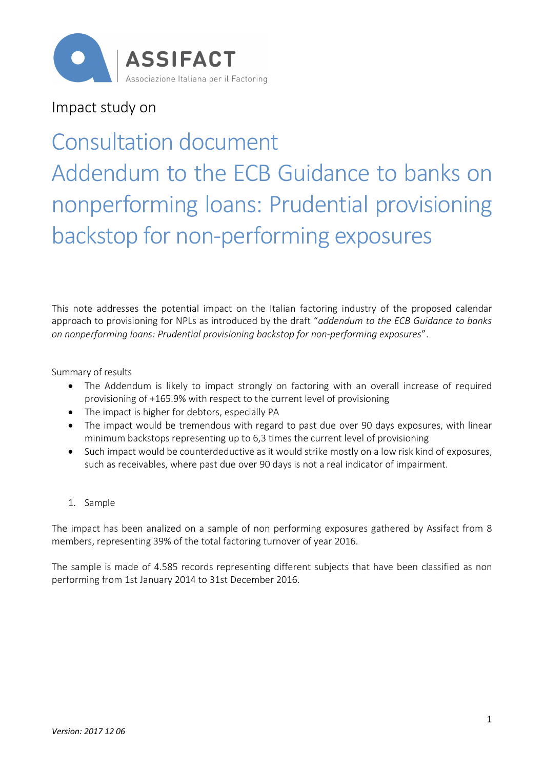

Impact study on

# Consultation document Addendum to the ECB Guidance to banks on nonperforming loans: Prudential provisioning backstop for non-performing exposures

This note addresses the potential impact on the Italian factoring industry of the proposed calendar approach to provisioning for NPLs as introduced by the draft "*addendum to the ECB Guidance to banks on nonperforming loans: Prudential provisioning backstop for non-performing exposures*".

Summary of results

- The Addendum is likely to impact strongly on factoring with an overall increase of required provisioning of +165.9% with respect to the current level of provisioning
- The impact is higher for debtors, especially PA
- · The impact would be tremendous with regard to past due over 90 days exposures, with linear minimum backstops representing up to 6,3 times the current level of provisioning
- · Such impact would be counterdeductive as it would strike mostly on a low risk kind of exposures, such as receivables, where past due over 90 days is not a real indicator of impairment.
- 1. Sample

The impact has been analized on a sample of non performing exposures gathered by Assifact from 8 members, representing 39% of the total factoring turnover of year 2016.

The sample is made of 4.585 records representing different subjects that have been classified as non performing from 1st January 2014 to 31st December 2016.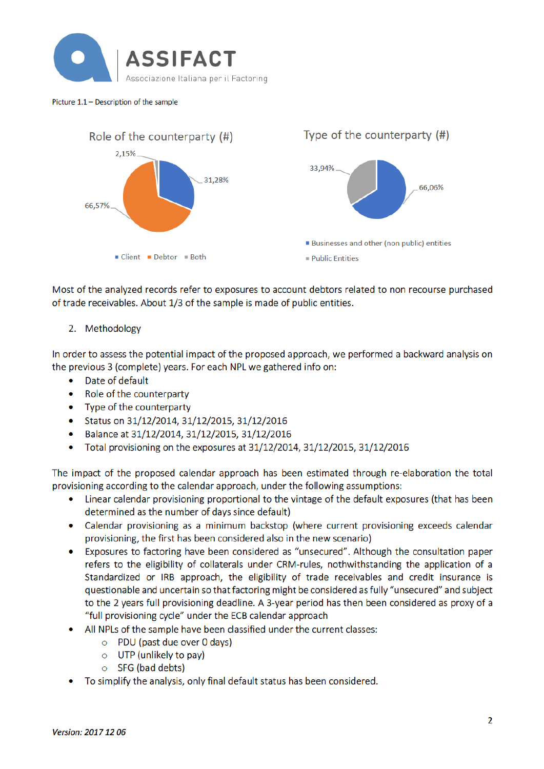

#### Picture 1.1 - Description of the sample



Most of the analyzed records refer to exposures to account debtors related to non recourse purchased of trade receivables. About 1/3 of the sample is made of public entities.

2. Methodology

In order to assess the potential impact of the proposed approach, we performed a backward analysis on the previous 3 (complete) years. For each NPL we gathered info on:

- $\bullet$ Date of default
- $\bullet$ Role of the counterparty
- Type of the counterparty
- Status on 31/12/2014, 31/12/2015, 31/12/2016
- Balance at 31/12/2014, 31/12/2015, 31/12/2016
- Total provisioning on the exposures at 31/12/2014, 31/12/2015, 31/12/2016  $\bullet$

The impact of the proposed calendar approach has been estimated through re-elaboration the total provisioning according to the calendar approach, under the following assumptions:

- Linear calendar provisioning proportional to the vintage of the default exposures (that has been determined as the number of days since default)
- Calendar provisioning as a minimum backstop (where current provisioning exceeds calendar provisioning, the first has been considered also in the new scenario)
- Exposures to factoring have been considered as "unsecured". Although the consultation paper refers to the eligibility of collaterals under CRM-rules, nothwithstanding the application of a Standardized or IRB approach, the eligibility of trade receivables and credit insurance is questionable and uncertain so that factoring might be considered as fully "unsecured" and subject to the 2 years full provisioning deadline. A 3-year period has then been considered as proxy of a "full provisioning cycle" under the ECB calendar approach
- All NPLs of the sample have been classified under the current classes:
	- $\circ$  PDU (past due over 0 days)
	- $\circ$  UTP (unlikely to pay)
	- $\circ$  SFG (bad debts)
- To simplify the analysis, only final default status has been considered.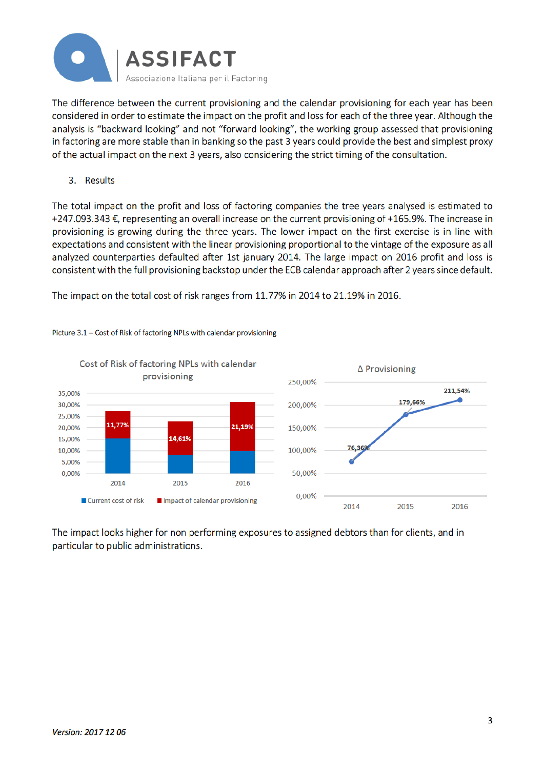

The difference between the current provisioning and the calendar provisioning for each year has been considered in order to estimate the impact on the profit and loss for each of the three year. Although the analysis is "backward looking" and not "forward looking", the working group assessed that provisioning in factoring are more stable than in banking so the past 3 years could provide the best and simplest proxy of the actual impact on the next 3 years, also considering the strict timing of the consultation.

3. Results

The total impact on the profit and loss of factoring companies the tree years analysed is estimated to +247.093.343 €, representing an overall increase on the current provisioning of +165.9%. The increase in provisioning is growing during the three years. The lower impact on the first exercise is in line with expectations and consistent with the linear provisioning proportional to the vintage of the exposure as all analyzed counterparties defaulted after 1st january 2014. The large impact on 2016 profit and loss is consistent with the full provisioning backstop under the ECB calendar approach after 2 years since default.

The impact on the total cost of risk ranges from 11.77% in 2014 to 21.19% in 2016.



Picture 3.1 - Cost of Risk of factoring NPLs with calendar provisioning

The impact looks higher for non performing exposures to assigned debtors than for clients, and in particular to public administrations.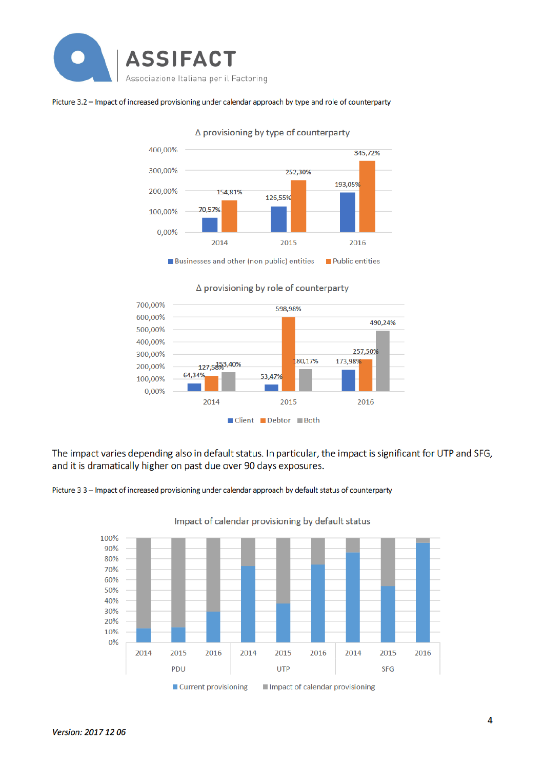

#### Picture 3.2 - Impact of increased provisioning under calendar approach by type and role of counterparty



∆ provisioning by type of counterparty

∆ provisioning by role of counterparty



The impact varies depending also in default status. In particular, the impact is significant for UTP and SFG, and it is dramatically higher on past due over 90 days exposures.

Picture 3 3 - Impact of increased provisioning under calendar approach by default status of counterparty



Impact of calendar provisioning by default status